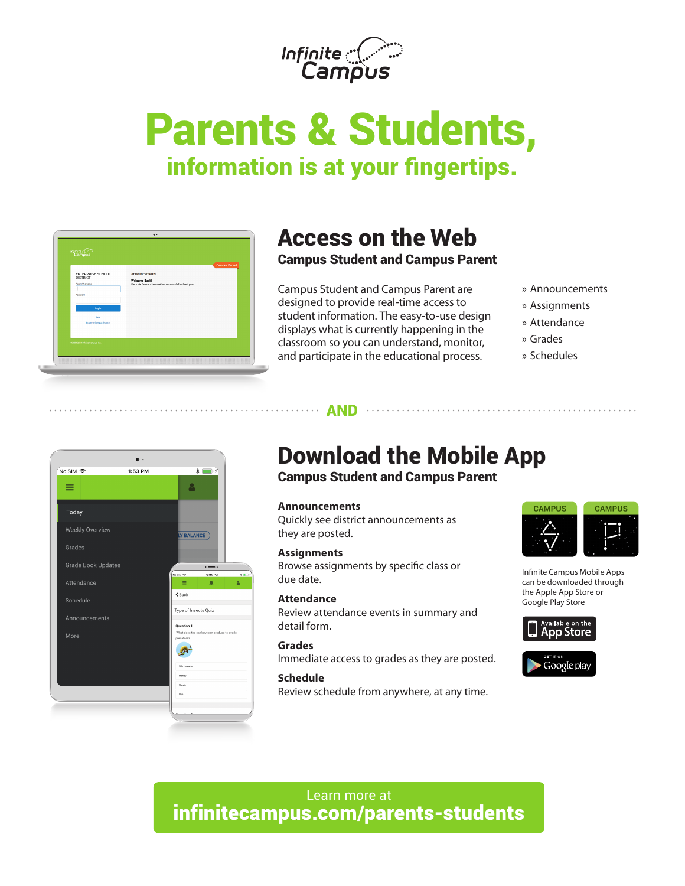

# Parents & Students, information is at your fingertips.



### Access on the Web Campus Student and Campus Parent

Campus Student and Campus Parent are designed to provide real-time access to student information. The easy-to-use design displays what is currently happening in the classroom so you can understand, monitor, and participate in the educational process.

- » Announcements
- » Assignments
- » Attendance
- » Grades
- » Schedules



# Download the Mobile App

### Campus Student and Campus Parent

#### **Announcements**

. . . . . . <u>AND . . . . . .</u>

Quickly see district announcements as they are posted.

#### **Assignments**

Browse assignments by specific class or due date.

#### **Attendance**

Review attendance events in summary and detail form.

#### **Grades**

Immediate access to grades as they are posted.

#### **Schedule**

Review schedule from anywhere, at any time.



Infinite Campus Mobile Apps can be downloaded through the Apple App Store or Google Play Store



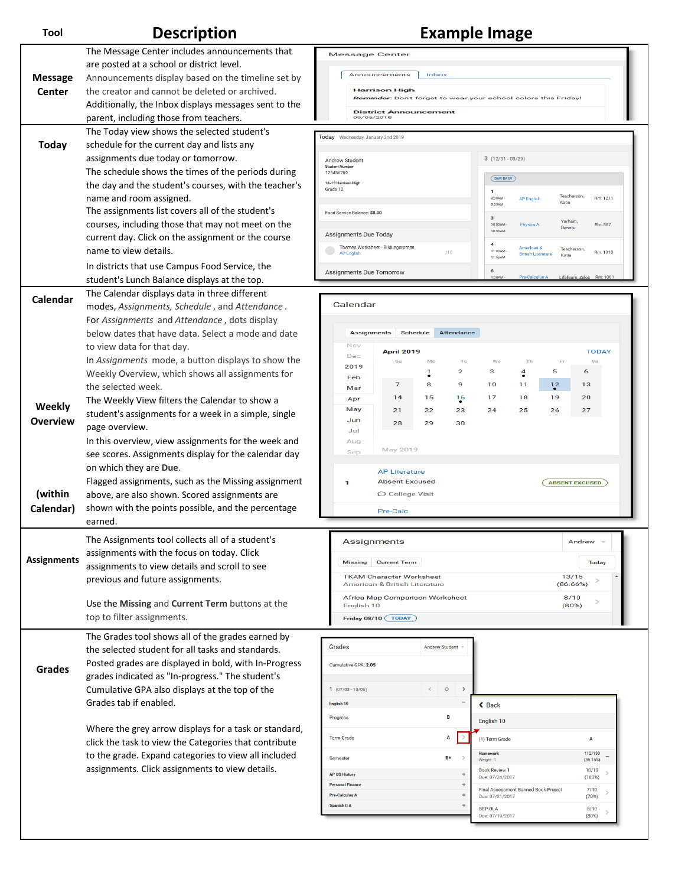### **Tool Description Example Image**

|                    | The Message Center includes announcements that        | <b>Message Center</b>                                        |                                                                |                                     |                   |                                                                                                   |                                             |                       |                     |
|--------------------|-------------------------------------------------------|--------------------------------------------------------------|----------------------------------------------------------------|-------------------------------------|-------------------|---------------------------------------------------------------------------------------------------|---------------------------------------------|-----------------------|---------------------|
|                    | are posted at a school or district level.             |                                                              |                                                                |                                     |                   |                                                                                                   |                                             |                       |                     |
| <b>Message</b>     | Announcements display based on the timeline set by    |                                                              | Announcements                                                  | Inbox                               |                   |                                                                                                   |                                             |                       |                     |
| <b>Center</b>      | the creator and cannot be deleted or archived.        |                                                              | <b>Harrison High</b>                                           |                                     |                   |                                                                                                   |                                             |                       |                     |
|                    | Additionally, the Inbox displays messages sent to the |                                                              | Reminder: Don't forget to wear your school colors this Friday! |                                     |                   |                                                                                                   |                                             |                       |                     |
|                    | parent, including those from teachers.                |                                                              | <b>District Announcement</b><br>09/05/2018                     |                                     |                   |                                                                                                   |                                             |                       |                     |
|                    | The Today view shows the selected student's           |                                                              |                                                                |                                     |                   |                                                                                                   |                                             |                       |                     |
| <b>Today</b>       | schedule for the current day and lists any            | Today Wednesday, January 2nd 2019                            |                                                                |                                     |                   |                                                                                                   |                                             |                       |                     |
|                    |                                                       |                                                              |                                                                |                                     |                   |                                                                                                   |                                             |                       |                     |
|                    | assignments due today or tomorrow.                    | <b>Andrew Student</b><br><b>Student Numbe</b>                |                                                                |                                     |                   | $3(12/31 - 03/29)$                                                                                |                                             |                       |                     |
|                    | The schedule shows the times of the periods during    | 123456789                                                    |                                                                |                                     |                   | DAY: DAILY                                                                                        |                                             |                       |                     |
|                    | the day and the student's courses, with the teacher's | 18-19 Harrison High<br>Grade 12                              |                                                                |                                     |                   | $\mathbf{1}$                                                                                      |                                             |                       |                     |
|                    | name and room assigned.                               |                                                              |                                                                |                                     |                   | Teacherson,<br>8:00AM<br>Rm: 1211<br><b>AP English</b><br>Katie<br>8:55AM                         |                                             |                       |                     |
|                    | The assignments list covers all of the student's      | Food Service Balance: \$0.00                                 |                                                                |                                     |                   | $\mathbf{3}$                                                                                      |                                             |                       |                     |
|                    | courses, including those that may not meet on the     |                                                              |                                                                |                                     |                   | Yarham.<br>$10:00AM -$<br><b>Physics A</b><br>Rm: 367<br>Dennis<br>10:55AM                        |                                             |                       |                     |
|                    | current day. Click on the assignment or the course    | <b>Assignments Due Today</b>                                 |                                                                |                                     |                   |                                                                                                   |                                             |                       |                     |
|                    | name to view details.                                 | Themes Worksheet - Bildungsroman<br>/10<br><b>AP English</b> |                                                                |                                     |                   | 4<br>American &<br><b>Teacherson</b><br>11:00AM<br>Rm: 1018<br><b>British Literature</b><br>Katie |                                             |                       |                     |
|                    | In districts that use Campus Food Service, the        |                                                              |                                                                |                                     |                   | 11:55AM                                                                                           |                                             |                       |                     |
|                    | student's Lunch Balance displays at the top.          | <b>Assignments Due Tomorrow</b>                              |                                                                |                                     |                   | 6<br>Lifellearn, Zelos Rm: 1001<br>1:00PM<br>Pre-Calculus A                                       |                                             |                       |                     |
|                    | The Calendar displays data in three different         |                                                              |                                                                |                                     |                   |                                                                                                   |                                             |                       |                     |
| Calendar           | modes, Assignments, Schedule, and Attendance.         | Calendar                                                     |                                                                |                                     |                   |                                                                                                   |                                             |                       |                     |
|                    | For Assignments and Attendance, dots display          |                                                              |                                                                |                                     |                   |                                                                                                   |                                             |                       |                     |
|                    | below dates that have data. Select a mode and date    | <b>Assignments</b>                                           |                                                                | <b>Schedule</b>                     | <b>Attendance</b> |                                                                                                   |                                             |                       |                     |
|                    |                                                       | Nov                                                          |                                                                |                                     |                   |                                                                                                   |                                             |                       |                     |
|                    | to view data for that day.                            | Dec                                                          | <b>April 2019</b>                                              |                                     |                   |                                                                                                   |                                             |                       | <b>TODAY</b>        |
|                    | In Assignments mode, a button displays to show the    | 2019                                                         | Su                                                             | Mo                                  | Tu<br>2           | We<br>3                                                                                           | Th                                          | Er<br>5<br>6          | Sa                  |
|                    | Weekly Overview, which shows all assignments for      | Feb                                                          | 7                                                              | 1<br>8                              | 9                 | 10                                                                                                | $\overline{4}$<br>11                        | 13                    |                     |
|                    | the selected week.                                    | Mar                                                          |                                                                |                                     |                   |                                                                                                   |                                             | 12<br>19              |                     |
| Weekly             | The Weekly View filters the Calendar to show a        | Apr<br>May                                                   | 14<br>21                                                       | 15<br>22                            | 16<br>23          | 17<br>24                                                                                          | 18<br>25<br>26                              | 20<br>27              |                     |
| <b>Overview</b>    | student's assignments for a week in a simple, single  | Jun                                                          |                                                                | 29                                  | 30                |                                                                                                   |                                             |                       |                     |
|                    | page overview.                                        | Jul                                                          | 28                                                             |                                     |                   |                                                                                                   |                                             |                       |                     |
|                    | In this overview, view assignments for the week and   | Aug                                                          |                                                                |                                     |                   |                                                                                                   |                                             |                       |                     |
|                    | see scores. Assignments display for the calendar day  | Sep                                                          | May 2019                                                       |                                     |                   |                                                                                                   |                                             |                       |                     |
|                    | on which they are Due.                                |                                                              | <b>AP Literature</b>                                           |                                     |                   |                                                                                                   |                                             |                       |                     |
|                    | Flagged assignments, such as the Missing assignment   | 1                                                            | <b>Absent Excused</b>                                          |                                     |                   |                                                                                                   |                                             | <b>ABSENT EXCUSED</b> |                     |
| (within            | above, are also shown. Scored assignments are         |                                                              | O College Visit                                                |                                     |                   |                                                                                                   |                                             |                       |                     |
| Calendar)          | shown with the points possible, and the percentage    |                                                              | <b>Pre-Calc</b>                                                |                                     |                   |                                                                                                   |                                             |                       |                     |
|                    | earned.                                               |                                                              |                                                                |                                     |                   |                                                                                                   |                                             |                       |                     |
|                    |                                                       |                                                              |                                                                |                                     |                   |                                                                                                   |                                             |                       |                     |
|                    | The Assignments tool collects all of a student's      | <b>Assignments</b>                                           |                                                                |                                     |                   |                                                                                                   |                                             | Anarew                |                     |
| <b>Assignments</b> | assignments with the focus on today. Click            | <b>Current Term</b><br><b>Missing</b>                        |                                                                |                                     | Today             |                                                                                                   |                                             |                       |                     |
|                    | assignments to view details and scroll to see         |                                                              | <b>TKAM Character Worksheet</b>                                |                                     |                   | 13/15                                                                                             |                                             |                       |                     |
|                    | previous and future assignments.                      |                                                              | American & British Literature                                  |                                     |                   |                                                                                                   |                                             | (86.66%)              |                     |
|                    |                                                       |                                                              | <b>Africa Map Comparison Worksheet</b>                         |                                     |                   |                                                                                                   |                                             | 8/10                  |                     |
|                    | Use the Missing and Current Term buttons at the       | English 10<br>Friday 08/10 (TODAY)                           |                                                                |                                     |                   |                                                                                                   |                                             | (80%)                 |                     |
|                    | top to filter assignments.                            |                                                              |                                                                |                                     |                   |                                                                                                   |                                             |                       |                     |
|                    | The Grades tool shows all of the grades earned by     |                                                              |                                                                |                                     |                   |                                                                                                   |                                             |                       |                     |
|                    | the selected student for all tasks and standards.     | Grades                                                       |                                                                | <b>Andrew Student</b>               |                   |                                                                                                   |                                             |                       |                     |
|                    | Posted grades are displayed in bold, with In-Progress | Cumulative GPA: 2.05                                         |                                                                |                                     |                   |                                                                                                   |                                             |                       |                     |
| <b>Grades</b>      | grades indicated as "In-progress." The student's      |                                                              |                                                                |                                     |                   |                                                                                                   |                                             |                       |                     |
|                    | Cumulative GPA also displays at the top of the        | $1(07/03 - 10/06)$                                           |                                                                | $\circ$<br>$\overline{\phantom{a}}$ | $\rightarrow$     |                                                                                                   |                                             |                       |                     |
|                    | Grades tab if enabled.                                | English 10                                                   |                                                                |                                     |                   | $\triangle$ Back                                                                                  |                                             |                       |                     |
|                    |                                                       | Progress                                                     |                                                                | B                                   |                   | English 10                                                                                        |                                             |                       |                     |
|                    | Where the grey arrow displays for a task or standard, |                                                              |                                                                |                                     |                   |                                                                                                   |                                             |                       |                     |
|                    | click the task to view the Categories that contribute | <b>Term Grade</b>                                            |                                                                | Α                                   |                   | (1) Term Grade                                                                                    |                                             |                       | A                   |
|                    | to the grade. Expand categories to view all included  | Semester                                                     |                                                                | $B+$                                |                   | Weight: 1                                                                                         |                                             |                       | 112/130<br>(86.15%) |
|                    | assignments. Click assignments to view details.       |                                                              |                                                                |                                     |                   | <b>Book Review 1</b>                                                                              |                                             |                       | 10/10               |
|                    |                                                       | <b>AP US History</b><br><b>Personal Finance</b>              |                                                                |                                     | ٠                 | Due: 07/24/2017                                                                                   |                                             |                       | (100%               |
|                    |                                                       | <b>Pre-Calculus A</b>                                        |                                                                |                                     |                   | Due: 07/21/2017                                                                                   | <b>Final Assessment Banned Book Project</b> |                       | 7/10<br>(70%)       |
|                    |                                                       | Spanish II A                                                 |                                                                |                                     |                   | <b>BBP OLA</b>                                                                                    |                                             |                       | 8/10                |
|                    |                                                       |                                                              |                                                                |                                     |                   | Due: 07/19/2017                                                                                   |                                             |                       | (80%)               |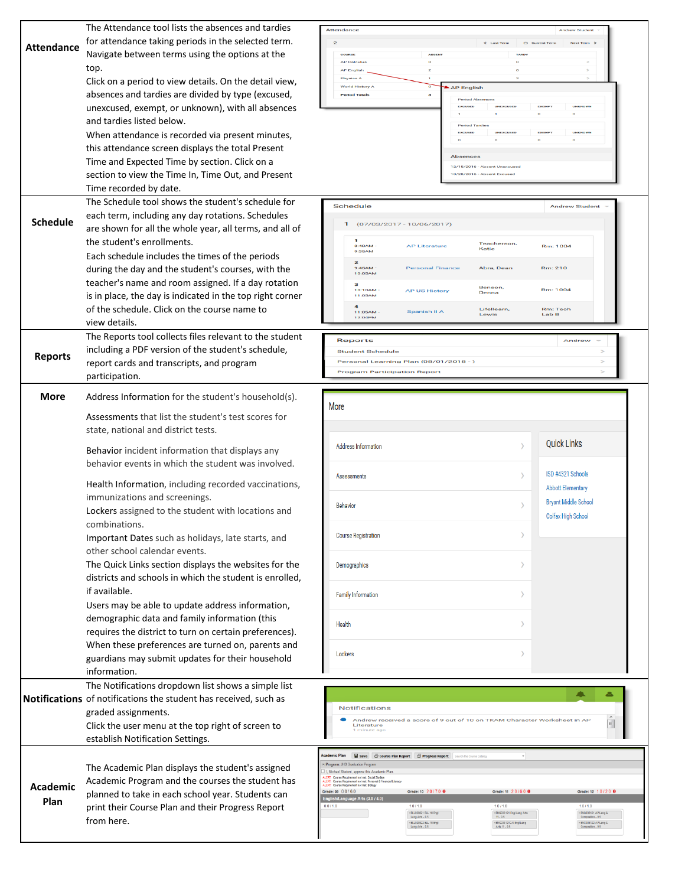|                   | The Attendance tool lists the absences and tardies                      | Attendance<br><b>Andrew Student</b>                                                                                                                                     |
|-------------------|-------------------------------------------------------------------------|-------------------------------------------------------------------------------------------------------------------------------------------------------------------------|
| <b>Attendance</b> | for attendance taking periods in the selected term.                     | $\leq$ Last Tern<br>$O$ Curren<br>Next Term 3                                                                                                                           |
|                   | Navigate between terms using the options at the                         | <b>AP Calculus</b><br>$\circ$                                                                                                                                           |
|                   | top.                                                                    | <b>AP English</b>                                                                                                                                                       |
|                   | Click on a period to view details. On the detail view,                  | Physics A<br>World History A<br>AP English                                                                                                                              |
|                   | absences and tardies are divided by type (excused,                      | <b>Period Totals</b><br>а<br><b>Period Ahner</b>                                                                                                                        |
|                   | unexcused, exempt, or unknown), with all absences                       | <b>EXEMP</b><br>EXCUSED                                                                                                                                                 |
|                   | and tardies listed below.                                               |                                                                                                                                                                         |
|                   | When attendance is recorded via present minutes,                        | <b>EXEMP</b><br><b>EXCUSED</b><br>UNEXCUSED                                                                                                                             |
|                   | this attendance screen displays the total Present                       | <b>Absences</b>                                                                                                                                                         |
|                   | Time and Expected Time by section. Click on a                           | 12/15/2016 - Absent Unexcused                                                                                                                                           |
|                   | section to view the Time In, Time Out, and Present                      | 10/28/2016 - Absent Excused                                                                                                                                             |
|                   | Time recorded by date.                                                  |                                                                                                                                                                         |
|                   | The Schedule tool shows the student's schedule for                      | <b>Schedule</b><br><b>Andrew Student</b>                                                                                                                                |
| <b>Schedule</b>   | each term, including any day rotations. Schedules                       |                                                                                                                                                                         |
|                   | are shown for all the whole year, all terms, and all of                 | $(07/03/2017 - 10/06/2017)$                                                                                                                                             |
|                   | the student's enrollments.                                              | Teacherson,<br>8:40AM<br><b>AP Literature</b><br>Rm: 1004<br>Katle                                                                                                      |
|                   | Each schedule includes the times of the periods                         | 9:35AM                                                                                                                                                                  |
|                   | during the day and the student's courses, with the                      | $\overline{\mathbf{z}}$<br>9:45AM<br><b>Personal Finance</b><br>Rm: 210<br>Abra, Dean<br>10:05AM                                                                        |
|                   | teacher's name and room assigned. If a day rotation                     | з<br>Benson,                                                                                                                                                            |
|                   | is in place, the day is indicated in the top right corner               | 10:10AM<br>Rm: 1004<br><b>AP US History</b><br>Denna<br>11:05AM                                                                                                         |
|                   | of the schedule. Click on the course name to                            | Lifellearn,<br><b>Rm: Tech</b><br>Spanish II A<br>11:05AM<br>Lewis<br>Lab B                                                                                             |
|                   | view details.                                                           | 12:04PM                                                                                                                                                                 |
|                   | The Reports tool collects files relevant to the student                 | <b>Reports</b><br>Andrew                                                                                                                                                |
|                   | including a PDF version of the student's schedule,                      | <b>Student Schedule</b>                                                                                                                                                 |
| <b>Reports</b>    | report cards and transcripts, and program                               | Personal Learning Plan (08/01/2018 - )                                                                                                                                  |
|                   | participation.                                                          | <b>Program Participation Report</b>                                                                                                                                     |
|                   |                                                                         |                                                                                                                                                                         |
| <b>More</b>       | Address Information for the student's household(s).                     | More                                                                                                                                                                    |
|                   | Assessments that list the student's test scores for                     |                                                                                                                                                                         |
|                   | state, national and district tests.                                     |                                                                                                                                                                         |
|                   |                                                                         | <b>Quick Links</b><br><b>Address Information</b>                                                                                                                        |
|                   | Behavior incident information that displays any                         |                                                                                                                                                                         |
|                   | behavior events in which the student was involved.                      | ISD #4321 Schools                                                                                                                                                       |
|                   | Health Information, including recorded vaccinations,                    | Assessments<br><b>Abbott Elementary</b>                                                                                                                                 |
|                   | immunizations and screenings.                                           | <b>Bryant Middle School</b>                                                                                                                                             |
|                   | Lockers assigned to the student with locations and                      | <b>Behavior</b><br>Colfax High School                                                                                                                                   |
|                   | combinations.                                                           |                                                                                                                                                                         |
|                   | Important Dates such as holidays, late starts, and                      | <b>Course Registration</b>                                                                                                                                              |
|                   | other school calendar events.                                           |                                                                                                                                                                         |
|                   | The Quick Links section displays the websites for the                   | Demographics                                                                                                                                                            |
|                   | districts and schools in which the student is enrolled,                 |                                                                                                                                                                         |
|                   | if available.                                                           | Family Information                                                                                                                                                      |
|                   | Users may be able to update address information,                        |                                                                                                                                                                         |
|                   | demographic data and family information (this                           |                                                                                                                                                                         |
|                   | requires the district to turn on certain preferences).                  | <b>Health</b>                                                                                                                                                           |
|                   | When these preferences are turned on, parents and                       |                                                                                                                                                                         |
|                   | guardians may submit updates for their household                        | Lockers                                                                                                                                                                 |
|                   | information.                                                            |                                                                                                                                                                         |
|                   | The Notifications dropdown list shows a simple list                     |                                                                                                                                                                         |
|                   | <b>Notifications</b> of notifications the student has received, such as | $\sqrt{2}$<br>은                                                                                                                                                         |
|                   | graded assignments.                                                     | <b>Notifications</b>                                                                                                                                                    |
|                   | Click the user menu at the top right of screen to                       | Andrew received a score of 9 out of 10 on TKAM Character Worksheet in AP<br>۹<br>Literature<br>1 minute ago                                                             |
|                   | establish Notification Settings.                                        |                                                                                                                                                                         |
|                   |                                                                         | <b>Academic Plan</b>                                                                                                                                                    |
|                   | The Academic Plan displays the student's assigned                       | Save & Course Plan Report & Progress Report<br>Program: JHS Graduation Program                                                                                          |
|                   | Academic Program and the courses the student has                        | I, Michael Student, approve this Academic Plar<br>ALERT: Course Requirement not met: Social Studies<br>ALERT: Course Requirement not met: Personal & Financial Literacy |
| Academic          | planned to take in each school year. Students can                       | ALERT: Course Requirement not met: Blology<br>Grade: 09 0.0 / 6.0<br>Grade: 10 2.0 / 7.0 0<br>Grade: 11 2.0 / 6.0 0<br>Grade: 12 1.0 / 2.0 0                            |
| Plan              | print their Course Plan and their Progress Report                       | English/Language Arts (3.0 / 4.0)<br>0.011.0<br>1.011.0<br>1.011.0<br>1.011.0                                                                                           |
|                   | from here.                                                              | × ELL029821 ELL 10 Engl<br>Lang Arts - 0.5<br>*ENG033121 Engl Lang Arts<br>× ENG038121 AP Lang &<br>$11 - 0.5$<br>Composition - 0.5                                     |
|                   |                                                                         | × ENG038122 AP Lang &<br>Composition - 0.5<br>» ELL029822 ELL 10 Engl<br>ENG033121CAI Engl Lang<br>Lang Arts - 0.5<br>Arts 11 - 0.5                                     |
|                   |                                                                         |                                                                                                                                                                         |